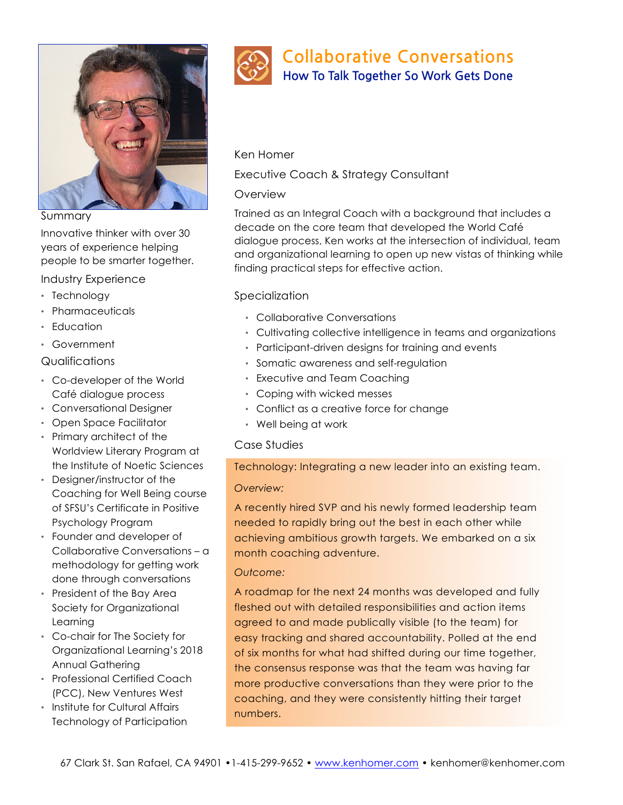

Summary

Innovative thinker with over 30 years of experience helping people to be smarter together.

Industry Experience

- Technology
- Pharmaceuticals
- Education
- Government

### Qualifications

- Co-developer of the World Café dialogue process
- Conversational Designer
- Open Space Facilitator
- Primary architect of the Worldview Literary Program at the Institute of Noetic Sciences
- Designer/instructor of the Coaching for Well Being course of SFSU's Certificate in Positive Psychology Program
- Founder and developer of Collaborative Conversations – a methodology for getting work done through conversations
- President of the Bay Area Society for Organizational Learning
- Co-chair for The Society for Organizational Learning's 2018 Annual Gathering
- Professional Certified Coach (PCC), New Ventures West
- Institute for Cultural Affairs Technology of Participation



# **Collaborative Conversations**

**How To Talk Together So Work Gets Done** 

### Ken Homer

Executive Coach & Strategy Consultant

## **Overview**

Trained as an Integral Coach with a background that includes a decade on the core team that developed the World Café dialogue process, Ken works at the intersection of individual, team and organizational learning to open up new vistas of thinking while finding practical steps for effective action.

# Specialization

- Collaborative Conversations
- Cultivating collective intelligence in teams and organizations
- Participant-driven designs for training and events
- Somatic awareness and self-regulation
- Executive and Team Coaching
- Coping with wicked messes
- Conflict as a creative force for change
- Well being at work

## Case Studies

## Technology: Integrating a new leader into an existing team.

## *Overview:*

A recently hired SVP and his newly formed leadership team needed to rapidly bring out the best in each other while achieving ambitious growth targets. We embarked on a six month coaching adventure.

## *Outcome:*

A roadmap for the next 24 months was developed and fully fleshed out with detailed responsibilities and action items agreed to and made publically visible (to the team) for easy tracking and shared accountability. Polled at the end of six months for what had shifted during our time together, the consensus response was that the team was having far more productive conversations than they were prior to the coaching, and they were consistently hitting their target numbers.